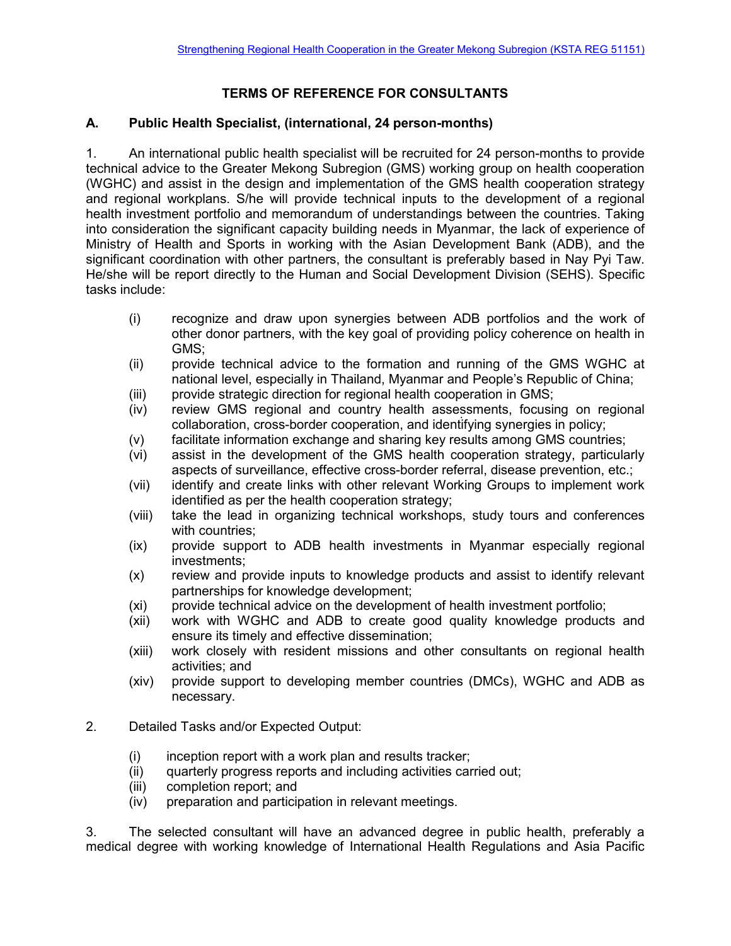## **TERMS OF REFERENCE FOR CONSULTANTS**

## **A. Public Health Specialist, (international, 24 person-months)**

1. An international public health specialist will be recruited for 24 person-months to provide technical advice to the Greater Mekong Subregion (GMS) working group on health cooperation (WGHC) and assist in the design and implementation of the GMS health cooperation strategy and regional workplans. S/he will provide technical inputs to the development of a regional health investment portfolio and memorandum of understandings between the countries. Taking into consideration the significant capacity building needs in Myanmar, the lack of experience of Ministry of Health and Sports in working with the Asian Development Bank (ADB), and the significant coordination with other partners, the consultant is preferably based in Nay Pyi Taw. He/she will be report directly to the Human and Social Development Division (SEHS). Specific tasks include:

- (i) recognize and draw upon synergies between ADB portfolios and the work of other donor partners, with the key goal of providing policy coherence on health in GMS;
- (ii) provide technical advice to the formation and running of the GMS WGHC at national level, especially in Thailand, Myanmar and People's Republic of China;
- (iii) provide strategic direction for regional health cooperation in GMS;
- (iv) review GMS regional and country health assessments, focusing on regional collaboration, cross-border cooperation, and identifying synergies in policy;
- (v) facilitate information exchange and sharing key results among GMS countries;
- (vi) assist in the development of the GMS health cooperation strategy, particularly aspects of surveillance, effective cross-border referral, disease prevention, etc.;
- (vii) identify and create links with other relevant Working Groups to implement work identified as per the health cooperation strategy;
- (viii) take the lead in organizing technical workshops, study tours and conferences with countries;
- (ix) provide support to ADB health investments in Myanmar especially regional investments;
- (x) review and provide inputs to knowledge products and assist to identify relevant partnerships for knowledge development;
- (xi) provide technical advice on the development of health investment portfolio;
- (xii) work with WGHC and ADB to create good quality knowledge products and ensure its timely and effective dissemination;
- (xiii) work closely with resident missions and other consultants on regional health activities; and
- (xiv) provide support to developing member countries (DMCs), WGHC and ADB as necessary.
- 2. Detailed Tasks and/or Expected Output:
	- (i) inception report with a work plan and results tracker;
	- (ii) quarterly progress reports and including activities carried out;
	- (iii) completion report; and
	- (iv) preparation and participation in relevant meetings.

3. The selected consultant will have an advanced degree in public health, preferably a medical degree with working knowledge of International Health Regulations and Asia Pacific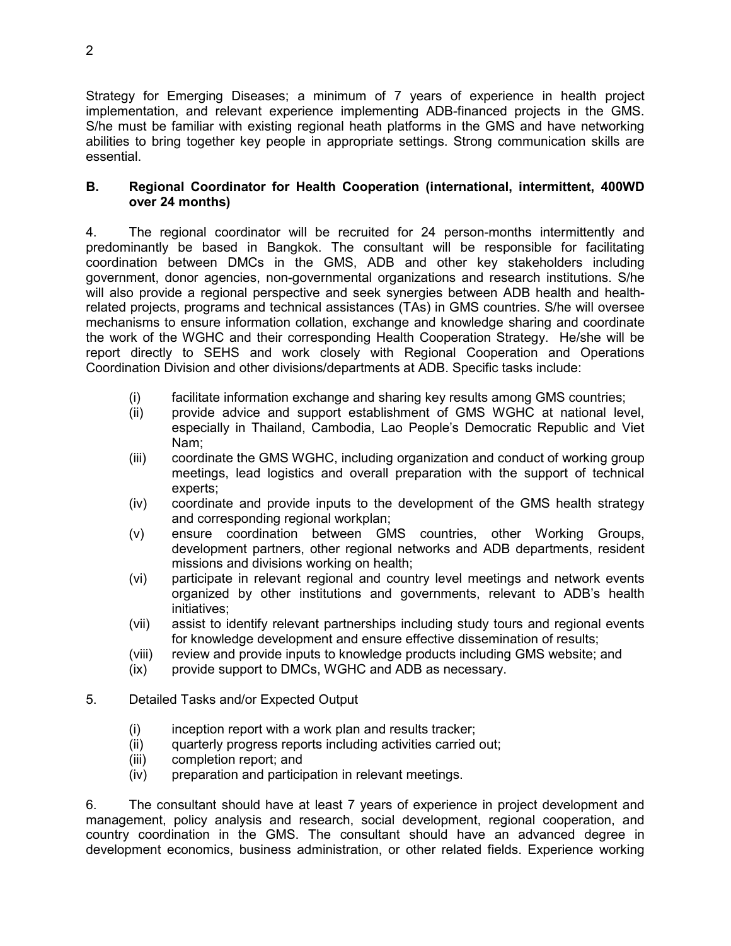Strategy for Emerging Diseases; a minimum of 7 years of experience in health project implementation, and relevant experience implementing ADB-financed projects in the GMS. S/he must be familiar with existing regional heath platforms in the GMS and have networking abilities to bring together key people in appropriate settings. Strong communication skills are essential.

## **B. Regional Coordinator for Health Cooperation (international, intermittent, 400WD over 24 months)**

4. The regional coordinator will be recruited for 24 person-months intermittently and predominantly be based in Bangkok. The consultant will be responsible for facilitating coordination between DMCs in the GMS, ADB and other key stakeholders including government, donor agencies, non-governmental organizations and research institutions. S/he will also provide a regional perspective and seek synergies between ADB health and healthrelated projects, programs and technical assistances (TAs) in GMS countries. S/he will oversee mechanisms to ensure information collation, exchange and knowledge sharing and coordinate the work of the WGHC and their corresponding Health Cooperation Strategy. He/she will be report directly to SEHS and work closely with Regional Cooperation and Operations Coordination Division and other divisions/departments at ADB. Specific tasks include:

- (i) facilitate information exchange and sharing key results among GMS countries;
- (ii) provide advice and support establishment of GMS WGHC at national level, especially in Thailand, Cambodia, Lao People's Democratic Republic and Viet Nam;
- (iii) coordinate the GMS WGHC, including organization and conduct of working group meetings, lead logistics and overall preparation with the support of technical experts;
- (iv) coordinate and provide inputs to the development of the GMS health strategy and corresponding regional workplan;
- (v) ensure coordination between GMS countries, other Working Groups, development partners, other regional networks and ADB departments, resident missions and divisions working on health;
- (vi) participate in relevant regional and country level meetings and network events organized by other institutions and governments, relevant to ADB's health initiatives;
- (vii) assist to identify relevant partnerships including study tours and regional events for knowledge development and ensure effective dissemination of results;
- (viii) review and provide inputs to knowledge products including GMS website; and
- (ix) provide support to DMCs, WGHC and ADB as necessary.
- 5. Detailed Tasks and/or Expected Output
	- (i) inception report with a work plan and results tracker;
	- (ii) quarterly progress reports including activities carried out;
	- (iii) completion report; and
	- (iv) preparation and participation in relevant meetings.

6. The consultant should have at least 7 years of experience in project development and management, policy analysis and research, social development, regional cooperation, and country coordination in the GMS. The consultant should have an advanced degree in development economics, business administration, or other related fields. Experience working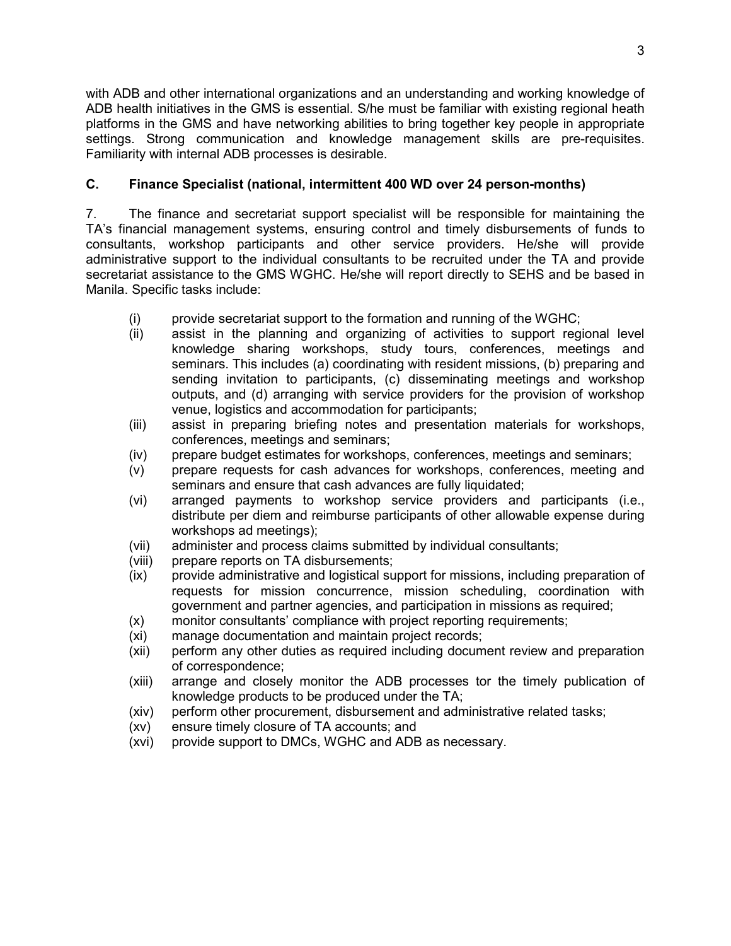with ADB and other international organizations and an understanding and working knowledge of ADB health initiatives in the GMS is essential. S/he must be familiar with existing regional heath platforms in the GMS and have networking abilities to bring together key people in appropriate settings. Strong communication and knowledge management skills are pre-requisites. Familiarity with internal ADB processes is desirable.

## **C. Finance Specialist (national, intermittent 400 WD over 24 person-months)**

7. The finance and secretariat support specialist will be responsible for maintaining the TA's financial management systems, ensuring control and timely disbursements of funds to consultants, workshop participants and other service providers. He/she will provide administrative support to the individual consultants to be recruited under the TA and provide secretariat assistance to the GMS WGHC. He/she will report directly to SEHS and be based in Manila. Specific tasks include:

- (i) provide secretariat support to the formation and running of the WGHC;
- (ii) assist in the planning and organizing of activities to support regional level knowledge sharing workshops, study tours, conferences, meetings and seminars. This includes (a) coordinating with resident missions, (b) preparing and sending invitation to participants, (c) disseminating meetings and workshop outputs, and (d) arranging with service providers for the provision of workshop venue, logistics and accommodation for participants;
- (iii) assist in preparing briefing notes and presentation materials for workshops, conferences, meetings and seminars;
- (iv) prepare budget estimates for workshops, conferences, meetings and seminars;
- (v) prepare requests for cash advances for workshops, conferences, meeting and seminars and ensure that cash advances are fully liquidated;
- (vi) arranged payments to workshop service providers and participants (i.e., distribute per diem and reimburse participants of other allowable expense during workshops ad meetings);
- (vii) administer and process claims submitted by individual consultants;
- (viii) prepare reports on TA disbursements;
- (ix) provide administrative and logistical support for missions, including preparation of requests for mission concurrence, mission scheduling, coordination with government and partner agencies, and participation in missions as required;
- (x) monitor consultants' compliance with project reporting requirements;
- (xi) manage documentation and maintain project records;
- (xii) perform any other duties as required including document review and preparation of correspondence;
- (xiii) arrange and closely monitor the ADB processes tor the timely publication of knowledge products to be produced under the TA;
- (xiv) perform other procurement, disbursement and administrative related tasks;
- (xv) ensure timely closure of TA accounts; and
- (xvi) provide support to DMCs, WGHC and ADB as necessary.